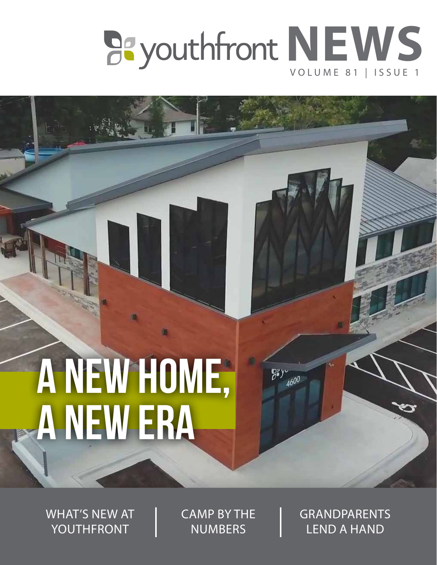

 $7.$  $A600$ 

# a new home, a new era

WHAT'S NEW AT YOUTHFRONT

CAMP BY THE **NUMBERS** 

GRANDPARENTS LEND A HAND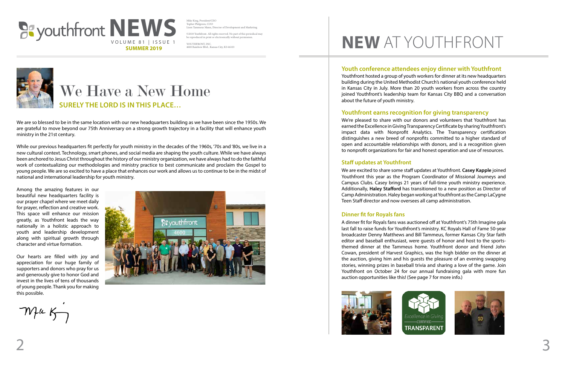We are so blessed to be in the same location with our new headquarters building as we have been since the 1950s. We are grateful to move beyond our 75th Anniversary on a strong growth trajectory in a facility that will enhance youth ministry in the 21st century.

While our previous headquarters fit perfectly for youth ministry in the decades of the 1960s, '70s and '80s, we live in a new cultural context. Technology, smart phones, and social media are shaping the youth culture. While we have always been anchored to Jesus Christ throughout the history of our ministry organization, we have always had to do the faithful work of contextualizing our methodologies and ministry practice to best communicate and proclaim the Gospel to young people. We are so excited to have a place that enhances our work and allows us to continue to be in the midst of national and international leadership for youth ministry.

©2018 Youthfront. All rights reserved. No part of this periodical may be reproduced in print or electronically without permiss

Among the amazing features in our beautiful new headquarters facility is our prayer chapel where we meet daily for prayer, reflection and creative work. This space will enhance our mission greatly, as Youthfront leads the way nationally in a holistic approach to youth and leadership development along with spiritual growth through character and virtue formation.

### **SURELY THE LORD IS IN THIS PLACE…** We Have a New Home

Our hearts are filled with joy and appreciation for our huge family of supporters and donors who pray for us and generously give to honor God and invest in the lives of tens of thousands of young people. Thank you for making this possible.

 $m$ fic Kong



We are excited to share some staff updates at Youthfront. **Casey Kapple** joined Youthfront this year as the Program Coordinator of Missional Journeys and Campus Clubs. Casey brings 21 years of full-time youth ministry experience. Additionally, **Haley Stafford** has transitioned to a new position as Director of Camp Administration. Haley began working at Youthfront as the Camp LaCygne Teen Staff director and now oversees all camp administration.



Mike King, President/CEO Topher Philgreen, COO Lisen Tammeus Mann, Director of Development and Marketing

YOUTHFRONT, INC. 4600 Rainbow Blvd., Kansas City, KS 66103





#### **Youth conference attendees enjoy dinner with Youthfront**

#### **Staff updates at Youthfront**

#### **Dinner fit for Royals fans**

A dinner fit for Royals fans was auctioned off at Youthfront's 75th Imagine gala last fall to raise funds for Youthfront's ministry. KC Royals Hall of Fame 50-year broadcaster Denny Matthews and Bill Tammeus, former Kansas City Star faith editor and baseball enthusiast, were guests of honor and host to the sportsthemed dinner at the Tammeus home. Youthfront donor and friend John Cowan, president of Harvest Graphics, was the high bidder on the dinner at the auction, giving him and his guests the pleasure of an evening swapping stories, winning prizes in baseball trivia and sharing a love of the game. Join Youthfront on October 24 for our annual fundraising gala with more fun auction opportunities like this! (See page 7 for more info.)



## **NEW** AT YOUTHFRONT

Youthfront hosted a group of youth workers for dinner at its new headquarters building during the United Methodist Church's national youth conference held in Kansas City in July. More than 20 youth workers from across the country joined Youthfront's leadership team for Kansas City BBQ and a conversation about the future of youth ministry.

#### **Youthfront earns recognition for giving transparency**

We're pleased to share with our donors and volunteers that Youthfront has earned the Excellence in Giving Transparency Certificate by sharing Youthfront's impact data with Nonprofit Analytics. The Transparency certification distinguishes a new breed of nonprofits committed to a higher standard of open and accountable relationships with donors, and is a recognition given to nonprofit organizations for fair and honest operation and use of resources.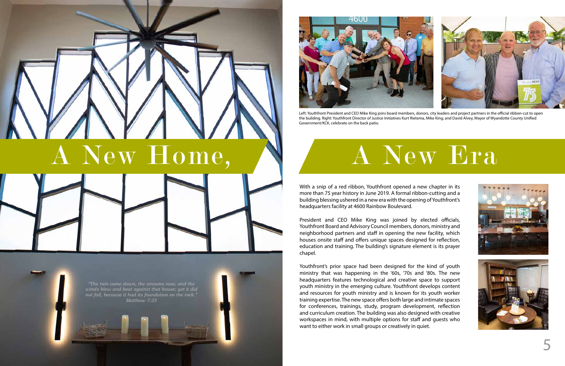With a snip of a red ribbon, Youthfront opened a new chapter in its more than 75 year history in June 2019. A formal ribbon-cutting and a building blessing ushered in a new era with the opening of Youthfront's headquarters facility at 4600 Rainbow Boulevard.

President and CEO Mike King was joined by elected officials, Youthfront Board and Advisory Council members, donors, ministry and neighborhood partners and staff in opening the new facility, which houses onsite staff and offers unique spaces designed for reflection, education and training. The building's signature element is its prayer chapel.



Youthfront's prior space had been designed for the kind of youth ministry that was happening in the '60s, '70s and '80s. The new headquarters features technological and creative space to support youth ministry in the emerging culture. Youthfront develops content and resources for youth ministry and is known for its youth worker training expertise. The new space offers both large and intimate spaces for conferences, trainings, study, program development, reflection and curriculum creation. The building was also designed with creative workspaces in mind, with multiple options for staff and guests who want to either work in small groups or creatively in quiet.







Left: Youthfront President and CEO Mike King joins board members, donors, city leaders and project partners in the official ribbon-cut to open the building. Right: Youthfront Director of Justice Initiatives Kurt Rietema, Mike King, and David Alvey, Mayor of Wyandotte County Unified Government/KCK, celebrate on the back patio.

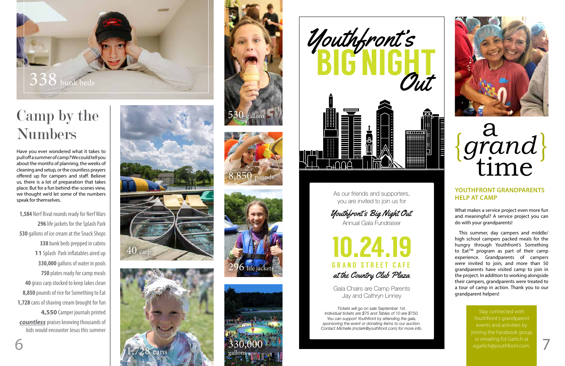6



As our friends and supporters, you are invited to join us for

Gala Chairs are Camp Parents Jay and Cathryn Linney

10.24.19 GRAND STREET CAFE at the Country Club Plaza

Annual Gala Fundraiser Youthfront's Big Night Out

*Tickets will go on sale September 1st. Individual tickets are \$75 and Tables of 10 are \$750. You can support Youthfront by attending the gala, sponsoring the event or donating items to our auction. Contact Michelle (mclark@youthfront.com) for more info.*



#### **YOUTHFRONT GRANDPARENTS HELP AT CAMP**

# a<br>*rand*<br>time {*grand* }

What makes a service project even more fun and meaningful? A service project you can do with your grandparents!

This summer, day campers and middle/ high school campers packed meals for the hungry through Youthfront's Something to Eat<sup>™</sup> program as part of their camp experience. Grandparents of campers were invited to join, and more than 50 grandparents have visited camp to join in the project. In addition to working alongside their campers, grandparents were treated to a tour of camp in action. Thank you to our grandparent helpers!

> Stay connected with Youthfront's grandparent joining the Facebook group or emailing Ed Garlich at egarlich@youthfront.com.

**1,584** Nerf Rival rounds ready for Nerf Wars **296** life jackets for the Splash Park **530** gallons of ice cream at the Snack Shops **338** bunk beds prepped in cabins **11** Splash Park inflatables aired up **330,000** gallons of water in pools **750** plates ready for camp meals **40** grass carp stocked to keep lakes clean **8,850** pounds of rice for Something to Eat **1,728** cans of shaving cream brought for fun **4,550** Camper journals printed *countless* praises knowing thousands of kids would encounter Jesus this summer





Have you ever wondered what it takes to pull off a summer of camp? We could tell you about the months of planning, the weeks of cleaning and setup, or the countless prayers offered up for campers and staff. Believe us, there is a lot of preparation that takes place. But for a fun behind-the-scenes view, we thought we'd let some of the numbers speak for themselves.



### Camp by the Numbers